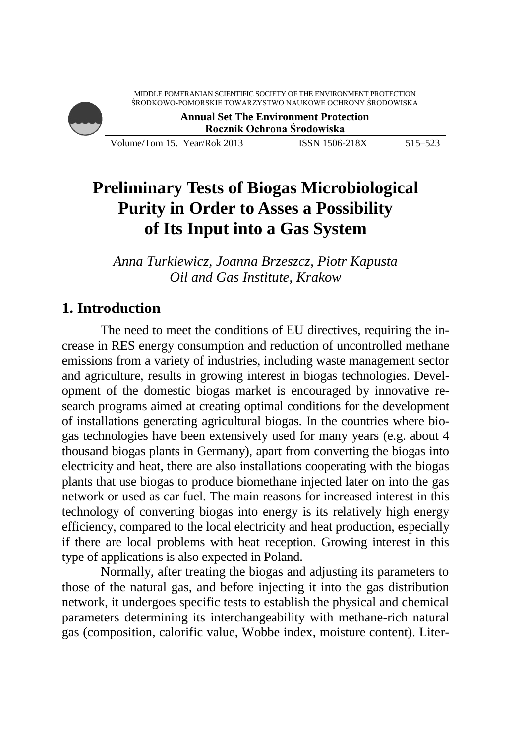

# **Preliminary Tests of Biogas Microbiological Purity in Order to Asses a Possibility of Its Input into a Gas System**

*Anna Turkiewicz, Joanna Brzeszcz, Piotr Kapusta Oil and Gas Institute, Krakow*

### **1. Introduction**

The need to meet the conditions of EU directives, requiring the increase in RES energy consumption and reduction of uncontrolled methane emissions from a variety of industries, including waste management sector and agriculture, results in growing interest in biogas technologies. Development of the domestic biogas market is encouraged by innovative research programs aimed at creating optimal conditions for the development of installations generating agricultural biogas. In the countries where biogas technologies have been extensively used for many years (e.g. about 4 thousand biogas plants in Germany), apart from converting the biogas into electricity and heat, there are also installations cooperating with the biogas plants that use biogas to produce biomethane injected later on into the gas network or used as car fuel. The main reasons for increased interest in this technology of converting biogas into energy is its relatively high energy efficiency, compared to the local electricity and heat production, especially if there are local problems with heat reception. Growing interest in this type of applications is also expected in Poland.

Normally, after treating the biogas and adjusting its parameters to those of the natural gas, and before injecting it into the gas distribution network, it undergoes specific tests to establish the physical and chemical parameters determining its interchangeability with methane-rich natural gas (composition, calorific value, Wobbe index, moisture content). Liter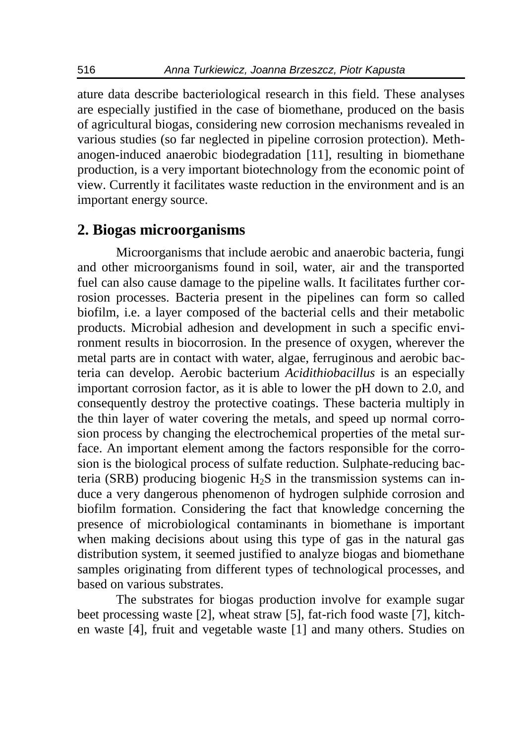ature data describe bacteriological research in this field. These analyses are especially justified in the case of biomethane, produced on the basis of agricultural biogas, considering new corrosion mechanisms revealed in various studies (so far neglected in pipeline corrosion protection). Methanogen-induced anaerobic biodegradation [11], resulting in biomethane production, is a very important biotechnology from the economic point of view. Currently it facilitates waste reduction in the environment and is an important energy source.

#### **2. Biogas microorganisms**

Microorganisms that include aerobic and anaerobic bacteria, fungi and other microorganisms found in soil, water, air and the transported fuel can also cause damage to the pipeline walls. It facilitates further corrosion processes. Bacteria present in the pipelines can form so called biofilm, i.e. a layer composed of the bacterial cells and their metabolic products. Microbial adhesion and development in such a specific environment results in biocorrosion. In the presence of oxygen, wherever the metal parts are in contact with water, algae, ferruginous and aerobic bacteria can develop. Aerobic bacterium *Acidithiobacillus* is an especially important corrosion factor, as it is able to lower the pH down to 2.0, and consequently destroy the protective coatings. These bacteria multiply in the thin layer of water covering the metals, and speed up normal corrosion process by changing the electrochemical properties of the metal surface. An important element among the factors responsible for the corrosion is the biological process of sulfate reduction. Sulphate-reducing bacteria (SRB) producing biogenic  $H_2S$  in the transmission systems can induce a very dangerous phenomenon of hydrogen sulphide corrosion and biofilm formation. Considering the fact that knowledge concerning the presence of microbiological contaminants in biomethane is important when making decisions about using this type of gas in the natural gas distribution system, it seemed justified to analyze biogas and biomethane samples originating from different types of technological processes, and based on various substrates.

The substrates for biogas production involve for example sugar beet processing waste [2], wheat straw [5], fat-rich food waste [7], kitchen waste [4], fruit and vegetable waste [1] and many others. Studies on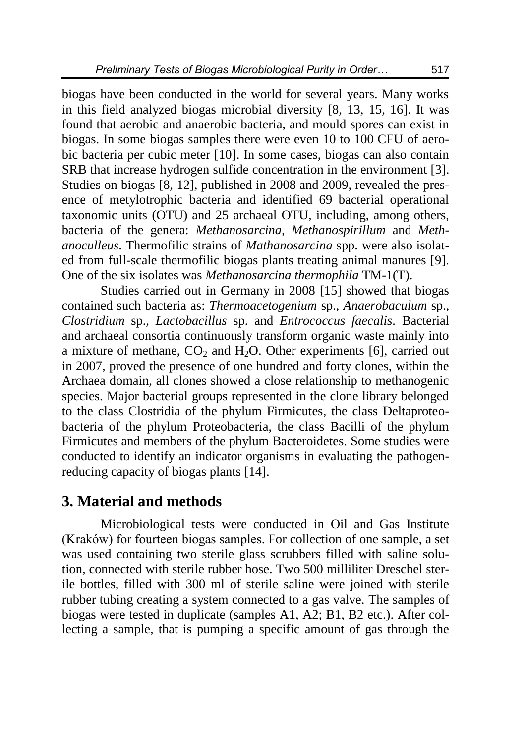biogas have been conducted in the world for several years. Many works in this field analyzed biogas microbial diversity [8, 13, 15, 16]. It was found that aerobic and anaerobic bacteria, and mould spores can exist in biogas. In some biogas samples there were even 10 to 100 CFU of aerobic bacteria per cubic meter [10]. In some cases, biogas can also contain SRB that increase hydrogen sulfide concentration in the environment [3]. Studies on biogas [8, 12], published in 2008 and 2009, revealed the presence of metylotrophic bacteria and identified 69 bacterial operational taxonomic units (OTU) and 25 archaeal OTU, including, among others, bacteria of the genera: *Methanosarcina, Methanospirillum* and *Methanoculleus*. Thermofilic strains of *Mathanosarcina* spp. were also isolated from full-scale thermofilic biogas plants treating animal manures [9]. One of the six isolates was *Methanosarcina thermophila* TM-1(T).

Studies carried out in Germany in 2008 [15] showed that biogas contained such bacteria as: *Thermoacetogenium* sp., *Anaerobaculum* sp., *Clostridium* sp., *Lactobacillus* sp. and *Entrococcus faecalis*. Bacterial and archaeal consortia continuously transform organic waste mainly into a mixture of methane,  $CO<sub>2</sub>$  and  $H<sub>2</sub>O$ . Other experiments [6], carried out in 2007, proved the presence of one hundred and forty clones, within the Archaea domain, all clones showed a close relationship to methanogenic species. Major bacterial groups represented in the clone library belonged to the class Clostridia of the phylum Firmicutes, the class Deltaproteobacteria of the phylum Proteobacteria, the class Bacilli of the phylum Firmicutes and members of the phylum Bacteroidetes. Some studies were conducted to identify an indicator organisms in evaluating the pathogenreducing capacity of biogas plants [14].

### **3. Material and methods**

Microbiological tests were conducted in Oil and Gas Institute (Kraków) for fourteen biogas samples. For collection of one sample, a set was used containing two sterile glass scrubbers filled with saline solution, connected with sterile rubber hose. Two 500 milliliter Dreschel sterile bottles, filled with 300 ml of sterile saline were joined with sterile rubber tubing creating a system connected to a gas valve. The samples of biogas were tested in duplicate (samples A1, A2; B1, B2 etc.). After collecting a sample, that is pumping a specific amount of gas through the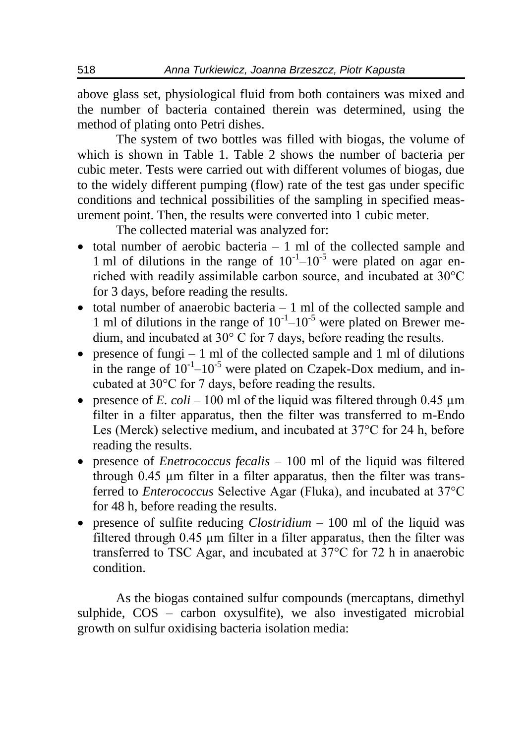above glass set, physiological fluid from both containers was mixed and the number of bacteria contained therein was determined, using the method of plating onto Petri dishes.

The system of two bottles was filled with biogas, the volume of which is shown in Table 1. Table 2 shows the number of bacteria per cubic meter. Tests were carried out with different volumes of biogas, due to the widely different pumping (flow) rate of the test gas under specific conditions and technical possibilities of the sampling in specified measurement point. Then, the results were converted into 1 cubic meter.

The collected material was analyzed for:

- $\bullet$  total number of aerobic bacteria  $-1$  ml of the collected sample and 1 ml of dilutions in the range of  $10^{-1}$ – $10^{-5}$  were plated on agar enriched with readily assimilable carbon source, and incubated at 30°C for 3 days, before reading the results.
- $\bullet$  total number of anaerobic bacteria 1 ml of the collected sample and 1 ml of dilutions in the range of  $10^{-1}$ – $10^{-5}$  were plated on Brewer medium, and incubated at 30° C for 7 days, before reading the results.
- presence of fungi 1 ml of the collected sample and 1 ml of dilutions in the range of  $10^{-1}$ – $10^{-5}$  were plated on Czapek-Dox medium, and incubated at 30°C for 7 days, before reading the results.
- **•** presence of *E.*  $\text{col}i 100$  ml of the liquid was filtered through 0.45  $\mu$ m filter in a filter apparatus, then the filter was transferred to m-Endo Les (Merck) selective medium, and incubated at 37°C for 24 h, before reading the results.
- presence of *Enetrococcus fecalis* 100 ml of the liquid was filtered through 0.45 µm filter in a filter apparatus, then the filter was transferred to *Enterococcus* Selective Agar (Fluka), and incubated at 37°C for 48 h, before reading the results.
- presence of sulfite reducing *Clostridium* 100 ml of the liquid was filtered through 0.45 µm filter in a filter apparatus, then the filter was transferred to TSC Agar, and incubated at 37°C for 72 h in anaerobic condition.

As the biogas contained sulfur compounds (mercaptans, dimethyl sulphide, COS – carbon oxysulfite), we also investigated microbial growth on sulfur oxidising bacteria isolation media: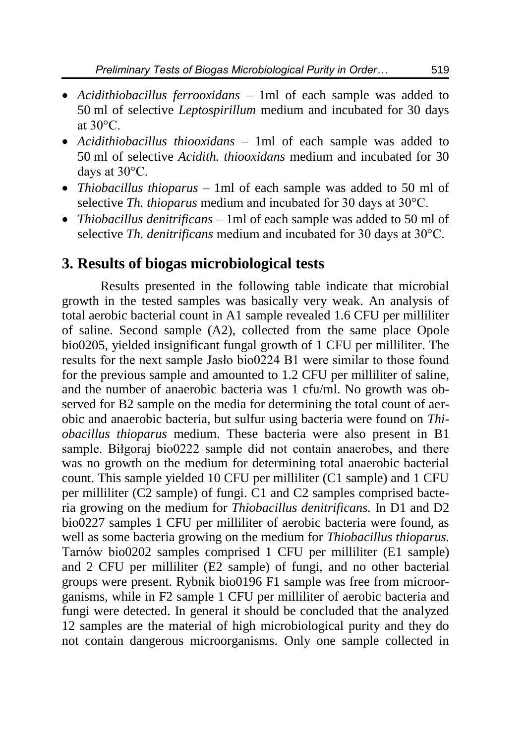- *Acidithiobacillus ferrooxidans* 1ml of each sample was added to 50 ml of selective *Leptospirillum* medium and incubated for 30 days at  $30^{\circ}$ C.
- *Acidithiobacillus thiooxidans* 1ml of each sample was added to 50 ml of selective *Acidith. thiooxidans* medium and incubated for 30 days at 30°C.
- *Thiobacillus thioparus* 1ml of each sample was added to 50 ml of selective *Th. thioparus* medium and incubated for 30 days at 30°C.
- *Thiobacillus denitrificans* 1ml of each sample was added to 50 ml of selective *Th. denitrificans* medium and incubated for 30 days at 30°C.

#### **3. Results of biogas microbiological tests**

Results presented in the following table indicate that microbial growth in the tested samples was basically very weak. An analysis of total aerobic bacterial count in A1 sample revealed 1.6 CFU per milliliter of saline. Second sample (A2), collected from the same place Opole bio0205, yielded insignificant fungal growth of 1 CFU per milliliter. The results for the next sample Jasło bio0224 B1 were similar to those found for the previous sample and amounted to 1.2 CFU per milliliter of saline, and the number of anaerobic bacteria was 1 cfu/ml. No growth was observed for B2 sample on the media for determining the total count of aerobic and anaerobic bacteria, but sulfur using bacteria were found on *Thiobacillus thioparus* medium. These bacteria were also present in B1 sample. Biłgoraj bio0222 sample did not contain anaerobes, and there was no growth on the medium for determining total anaerobic bacterial count. This sample yielded 10 CFU per milliliter (C1 sample) and 1 CFU per milliliter (C2 sample) of fungi. C1 and C2 samples comprised bacteria growing on the medium for *Thiobacillus denitrificans.* In D1 and D2 bio0227 samples 1 CFU per milliliter of aerobic bacteria were found, as well as some bacteria growing on the medium for *Thiobacillus thioparus.*  Tarnów bio0202 samples comprised 1 CFU per milliliter (E1 sample) and 2 CFU per milliliter (E2 sample) of fungi, and no other bacterial groups were present. Rybnik bio0196 F1 sample was free from microorganisms, while in F2 sample 1 CFU per milliliter of aerobic bacteria and fungi were detected. In general it should be concluded that the analyzed 12 samples are the material of high microbiological purity and they do not contain dangerous microorganisms. Only one sample collected in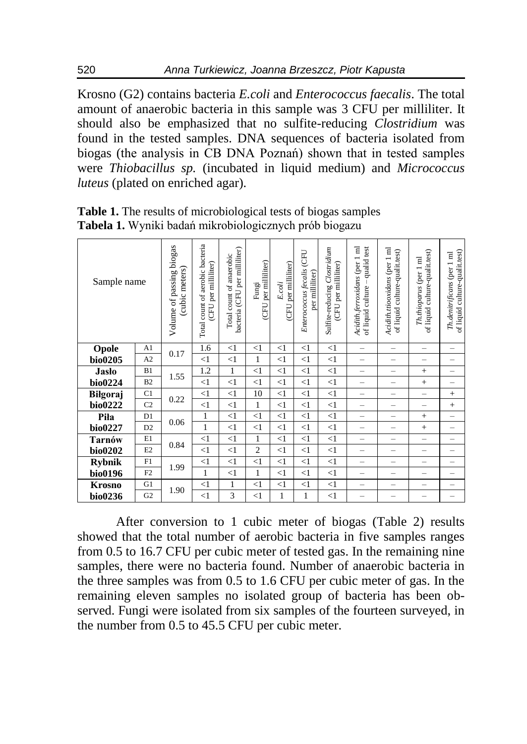Krosno (G2) contains bacteria *E.coli* and *Enterococcus faecalis*. The total amount of anaerobic bacteria in this sample was 3 CFU per milliliter. It should also be emphasized that no sulfite-reducing *Clostridium* was found in the tested samples. DNA sequences of bacteria isolated from biogas (the analysis in CB DNA Poznań) shown that in tested samples were *Thiobacillus sp.* (incubated in liquid medium) and *Micrococcus luteus* (plated on enriched agar).

| Sample name   |                | Volume of passing biogas<br>(cubic meters) | Total count of aerobic bacteria<br>per milliliter)<br><b>CFU</b> | bacteria (CFU per milliliter)<br>Total count of anaerobic | (CFU per milliliter)<br>Fungi | per milliliter)<br>E.coli<br><b>CFU</b> | <b>CFU</b><br>Enterococcus fecalis<br>per milliliter) | Sulfite-reducing Clostridium<br>(CFU per milliliter) | $\overline{a}$<br>qualid test<br>Acidith.ferroxidans (per<br>of liquid culture | Acidith.ttiooxidans (per 1 ml<br>of liquid culture-qualit.test) | of liquid culture-qualit.test)<br>Th.thioparus (per 1 ml | of liquid culture-qualit.test)<br>Th.denitrificans (per 1 ml |
|---------------|----------------|--------------------------------------------|------------------------------------------------------------------|-----------------------------------------------------------|-------------------------------|-----------------------------------------|-------------------------------------------------------|------------------------------------------------------|--------------------------------------------------------------------------------|-----------------------------------------------------------------|----------------------------------------------------------|--------------------------------------------------------------|
| Opole         | A <sub>1</sub> | 0.17                                       | 1.6                                                              | $<$ 1                                                     | $<$ 1                         | $<$ 1                                   | $<$ 1                                                 | $<$ 1                                                | $\overline{\phantom{0}}$                                                       | $\overline{\phantom{0}}$                                        | $\overline{\phantom{0}}$                                 | -                                                            |
| bio0205       | A2             |                                            | $\leq$ 1                                                         | $\leq$ 1                                                  | $\mathbf{1}$                  | $<$ 1                                   | $\leq$ 1                                              | $\leq$ 1                                             |                                                                                |                                                                 |                                                          |                                                              |
| <b>Jasło</b>  | B1             | 1.55                                       | 1.2                                                              | 1                                                         | $\leq$ 1                      | $\leq$ 1                                | $\leq$ 1                                              | $\leq$ 1                                             | $\overline{\phantom{0}}$                                                       | $\overline{\phantom{a}}$                                        | $+$                                                      | $\overline{\phantom{0}}$                                     |
| bio0224       | B2             |                                            | $\leq$ 1                                                         | $\leq$ 1                                                  | $\leq$ 1                      | $<$ 1                                   | $\leq$ 1                                              | $\leq$ 1                                             | $\overline{\phantom{a}}$                                                       | -                                                               | $+$                                                      | -                                                            |
| Bilgoraj      | C1             | 0.22                                       | $\leq$ 1                                                         | $\leq$ 1                                                  | 10                            | $<$ 1                                   | $\leq$ 1                                              | $\leq$ 1                                             | $\overline{\phantom{0}}$                                                       | $\overline{\phantom{a}}$                                        | $\overline{\phantom{0}}$                                 | $^{+}$                                                       |
| bio0222       | C <sub>2</sub> |                                            | $\leq$ 1                                                         | $\leq$ 1                                                  | $\mathbf{1}$                  | $<$ 1                                   | $\leq$ 1                                              | $\leq$ 1                                             |                                                                                |                                                                 |                                                          | $\! + \!\!\!\!$                                              |
| Piła          | D1             | 0.06                                       | 1                                                                | $\leq$ 1                                                  | $\leq$ 1                      | $<$ 1                                   | $\leq$ 1                                              | $\leq$ 1                                             | -                                                                              | $\overline{\phantom{a}}$                                        | $+$                                                      | $\overline{\phantom{0}}$                                     |
| bio0227       | D2             |                                            | $\mathbf{1}$                                                     | $\leq$ 1                                                  | $\leq$ 1                      | $<$ 1                                   | $\leq$ 1                                              | $\leq$ 1                                             |                                                                                |                                                                 | $+$                                                      |                                                              |
| <b>Tarnów</b> | E1             | 0.84                                       | $\leq$ 1                                                         | $\leq$ 1                                                  | $\mathbf{1}$                  | $<$ 1                                   | $\leq$ 1                                              | $\leq$ 1                                             |                                                                                |                                                                 | $\overline{\phantom{0}}$                                 | $\overline{\phantom{0}}$                                     |
| bio0202       | E2             |                                            | $\leq$ 1                                                         | $\leq$ 1                                                  | $\overline{2}$                | $<$ 1                                   | $\leq$ 1                                              | $\leq$ 1                                             |                                                                                |                                                                 |                                                          |                                                              |
| <b>Rybnik</b> | F1             | 1.99                                       | $\leq$ 1                                                         | $\leq$ 1                                                  | $\leq$ 1                      | $<$ 1                                   | $\leq$ 1                                              | $\leq$ 1                                             |                                                                                | $\overline{\phantom{0}}$                                        | $\overline{\phantom{0}}$                                 | $\overline{\phantom{0}}$                                     |
| bio0196       | F2             |                                            | $\mathbf{1}$                                                     | $\leq$ 1                                                  | $\mathbf{1}$                  | $<$ 1                                   | $\leq$ 1                                              | $\leq$ 1                                             | $\overline{\phantom{0}}$                                                       | $\overline{\phantom{a}}$                                        | -                                                        |                                                              |
| <b>Krosno</b> | G1             | 1.90                                       | $\leq$ 1                                                         | 1                                                         | $\leq$ 1                      | $<$ 1                                   | $\leq$ 1                                              | $\leq$ 1                                             | $\overline{\phantom{0}}$                                                       | $\overline{\phantom{0}}$                                        | $\overline{\phantom{0}}$                                 | $\overline{\phantom{0}}$                                     |
| bio0236       | G2             |                                            | $\leq$ 1                                                         | 3                                                         | $\leq$ 1                      | 1                                       | 1                                                     | $\leq$ 1                                             |                                                                                |                                                                 |                                                          |                                                              |

**Table 1.** The results of microbiological tests of biogas samples **Tabela 1.** Wyniki badań mikrobiologicznych prób biogazu

After conversion to 1 cubic meter of biogas (Table 2) results showed that the total number of aerobic bacteria in five samples ranges from 0.5 to 16.7 CFU per cubic meter of tested gas. In the remaining nine samples, there were no bacteria found. Number of anaerobic bacteria in the three samples was from 0.5 to 1.6 CFU per cubic meter of gas. In the remaining eleven samples no isolated group of bacteria has been observed. Fungi were isolated from six samples of the fourteen surveyed, in the number from 0.5 to 45.5 CFU per cubic meter.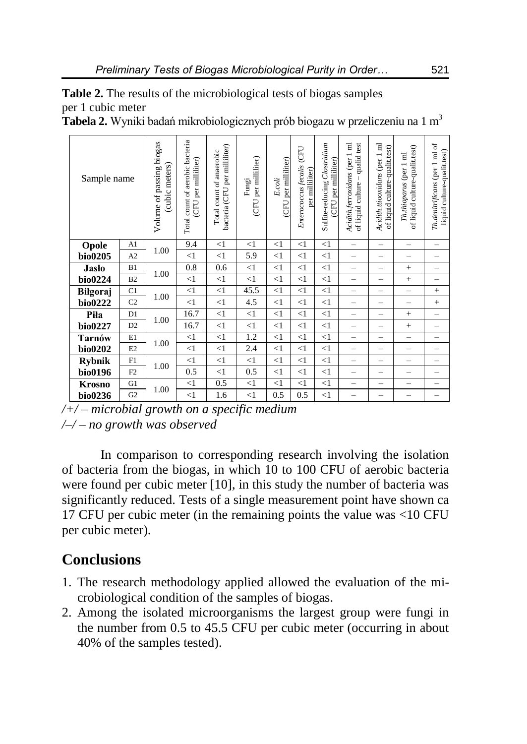| <b>Table 2.</b> The results of the microbiological tests of biogas samples |  |
|----------------------------------------------------------------------------|--|
| per 1 cubic meter                                                          |  |

**Tabela 2.** Wyniki badań mikrobiologicznych prób biogazu w przeliczeniu na 1 m<sup>3</sup>

| Sample name   |                | Volume of passing biogas<br>(cubic meters) | Total count of aerobic bacteria<br>(CFU per milliliter) | bacteria (CFU per milliliter)<br>Total count of anaerobic | per milliliter)<br>Fungi<br><b>CFU</b> | (CFU per milliliter)<br>E.coli | Enterococcus fecalis (CFU<br>per milliliter) | Sulfite-reducing Clostridium<br>(CFU per milliliter) | Acidith.ferroxidans (per 1 ml<br>qualid test<br>of liquid culture - | Acidith.ttiooxidans (per 1 ml<br>of liquid culture-qualit.test) | of liquid culture-qualit.test)<br>Th.thioparus (per 1 ml | Th.denitrificans (per 1 ml of<br>liquid culture-qualit.test) |
|---------------|----------------|--------------------------------------------|---------------------------------------------------------|-----------------------------------------------------------|----------------------------------------|--------------------------------|----------------------------------------------|------------------------------------------------------|---------------------------------------------------------------------|-----------------------------------------------------------------|----------------------------------------------------------|--------------------------------------------------------------|
| Opole         | A <sub>1</sub> | 1.00                                       | 9.4                                                     | $\leq$ 1                                                  | $\leq$ 1                               | $\leq$ 1                       | $\leq$ 1                                     | $\leq$ 1                                             | $\overline{\phantom{0}}$                                            | $\overline{\phantom{0}}$                                        | $\overline{\phantom{0}}$                                 |                                                              |
| bio0205       | A2             |                                            | $\leq$ 1                                                | $\leq$ 1                                                  | 5.9                                    | $\leq$ 1                       | $\leq$ 1                                     | $\leq$ 1                                             |                                                                     | -                                                               |                                                          |                                                              |
| <b>Jasło</b>  | B1             | 1.00                                       | 0.8                                                     | 0.6                                                       | <1                                     | $\leq$ 1                       | <1                                           | $\leq$ 1                                             | $\overline{\phantom{0}}$                                            |                                                                 | $^{+}$                                                   | $\overline{\phantom{0}}$                                     |
| bio0224       | B2             |                                            | <1                                                      | $\leq$ 1                                                  | <1                                     | $\leq$ 1                       | $\leq$ 1                                     | $\leq$ 1                                             | $\overline{\phantom{0}}$                                            | $\overline{\phantom{0}}$                                        | $+$                                                      | -                                                            |
| Biłgoraj      | C1             | 1.00                                       | <1                                                      | $<1\,$                                                    | 45.5                                   | $\leq$ 1                       | $\leq$ 1                                     | $\leq$ 1                                             | $\overline{\phantom{0}}$                                            | $\overline{\phantom{0}}$                                        | $\overline{\phantom{0}}$                                 | $^{+}$                                                       |
| bio0222       | C <sub>2</sub> |                                            | <1                                                      | $\leq$ 1                                                  | 4.5                                    | $\leq$ 1                       | $\leq$ 1                                     | $\leq$ 1                                             | -                                                                   | $\overline{\phantom{0}}$                                        | $\overline{\phantom{a}}$                                 | $^{+}$                                                       |
| Piła          | D1             | 1.00                                       | 16.7                                                    | $\leq$ 1                                                  | $\leq$ 1                               | $\leq$ 1                       | $\leq$ 1                                     | $\leq$ 1                                             | $\overline{\phantom{0}}$                                            | -                                                               | $+$                                                      | $\overline{\phantom{0}}$                                     |
| bio0227       | D2             |                                            | 16.7                                                    | $<1\,$                                                    | $\leq$ 1                               | $<$ 1                          | $\leq$ 1                                     | <1                                                   | $\overline{\phantom{0}}$                                            | $\overline{\phantom{0}}$                                        | $^{+}$                                                   |                                                              |
| Tarnów        | E1             | 1.00                                       | <1                                                      | <1                                                        | 1.2                                    | $\leq$ 1                       | $\leq$ 1                                     | $\leq$ 1                                             | $\overline{\phantom{0}}$                                            | -                                                               | $\overline{\phantom{0}}$                                 |                                                              |
| bio0202       | E2             |                                            | <1                                                      | $\leq$ 1                                                  | 2.4                                    | $\leq$ 1                       | $\leq$ 1                                     | $\leq$ 1                                             | $\overline{\phantom{a}}$                                            | -                                                               |                                                          |                                                              |
| <b>Rybnik</b> | F1             | 1.00                                       | $\leq$                                                  | $\leq$ 1                                                  | $\leq$ 1                               | $\leq$ 1                       | $\leq$ 1                                     | $\leq$ 1                                             | $\overline{\phantom{0}}$                                            | $\overline{\phantom{0}}$                                        | $\overline{\phantom{0}}$                                 |                                                              |
| bio0196       | F2             |                                            | 0.5                                                     | $\leq$ 1                                                  | 0.5                                    | $\leq$ 1                       | $\leq$ 1                                     | $\leq$ 1                                             | $\overline{\phantom{0}}$                                            | $\overline{\phantom{0}}$                                        | $\overline{\phantom{0}}$                                 |                                                              |
| <b>Krosno</b> | G1             | 1.00                                       | <1                                                      | 0.5                                                       | $\leq$ 1                               | $\leq$ 1                       | $\leq$ 1                                     | $\leq$ 1                                             | $\overline{\phantom{0}}$                                            | $\overline{\phantom{0}}$                                        | $\overline{\phantom{0}}$                                 |                                                              |
| bio0236       | G <sub>2</sub> |                                            | $\leq$ 1                                                | 1.6                                                       | $\leq$ 1                               | 0.5                            | 0.5                                          | $\leq$ 1                                             |                                                                     |                                                                 |                                                          |                                                              |

*/+/ – microbial growth on a specific medium /–/ – no growth was observed*

In comparison to corresponding research involving the isolation of bacteria from the biogas, in which 10 to 100 CFU of aerobic bacteria were found per cubic meter [10], in this study the number of bacteria was significantly reduced. Tests of a single measurement point have shown ca 17 CFU per cubic meter (in the remaining points the value was <10 CFU per cubic meter).

# **Conclusions**

- 1. The research methodology applied allowed the evaluation of the microbiological condition of the samples of biogas.
- 2. Among the isolated microorganisms the largest group were fungi in the number from 0.5 to 45.5 CFU per cubic meter (occurring in about 40% of the samples tested).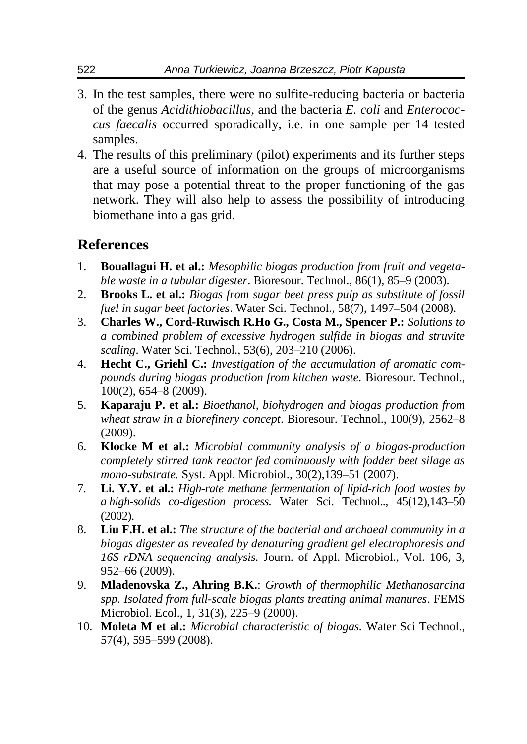- 3. In the test samples, there were no sulfite-reducing bacteria or bacteria of the genus *Acidithiobacillus*, and the bacteria *E. coli* and *Enterococcus faecalis* occurred sporadically, i.e. in one sample per 14 tested samples.
- 4. The results of this preliminary (pilot) experiments and its further steps are a useful source of information on the groups of microorganisms that may pose a potential threat to the proper functioning of the gas network. They will also help to assess the possibility of introducing biomethane into a gas grid.

# **References**

- 1. **Bouallagui H. et al.:** *Mesophilic biogas production from fruit and vegetable waste in a tubular digester*. Bioresour. Technol., 86(1), 85–9 (2003).
- 2. **Brooks L. et al.:** *Biogas from sugar beet press pulp as substitute of fossil fuel in sugar beet factories*. Water Sci. Technol., 58(7), 1497–504 (2008).
- 3. **Charles W., Cord-Ruwisch R.Ho G., Costa M., Spencer P.:** *Solutions to a combined problem of excessive hydrogen sulfide in biogas and struvite scaling*. Water Sci. Technol., 53(6), 203–210 (2006).
- 4. **Hecht C., Griehl C.:** *Investigation of the accumulation of aromatic compounds during biogas production from kitchen waste.* Bioresour. Technol., 100(2), 654–8 (2009).
- 5. **Kaparaju P. et al.:** *Bioethanol, biohydrogen and biogas production from wheat straw in a biorefinery concept*. Bioresour. Technol., 100(9), 2562–8 (2009).
- 6. **Klocke M et al.:** *Microbial community analysis of a biogas-production completely stirred tank reactor fed continuously with fodder beet silage as mono-substrate.* Syst. Appl. Microbiol., 30(2),139–51 (2007).
- 7. **Li. Y.Y. et al.:** *High-rate methane fermentation of lipid-rich food wastes by a high-solids co-digestion process.* Water Sci. Technol.., 45(12),143–50 (2002).
- 8. **Liu F.H. et al.:** *The structure of the bacterial and archaeal community in a biogas digester as revealed by denaturing gradient gel electrophoresis and 16S rDNA sequencing analysis.* Journ. of Appl. Microbiol., Vol. 106, 3, 952–66 (2009).
- 9. **Mladenovska Z., Ahring B.K.**: *Growth of thermophilic Methanosarcina spp. Isolated from full-scale biogas plants treating animal manures*. FEMS Microbiol. Ecol., 1, 31(3), 225–9 (2000).
- 10. **Moleta M et al.:** *Microbial characteristic of biogas.* Water Sci Technol., 57(4), 595–599 (2008).